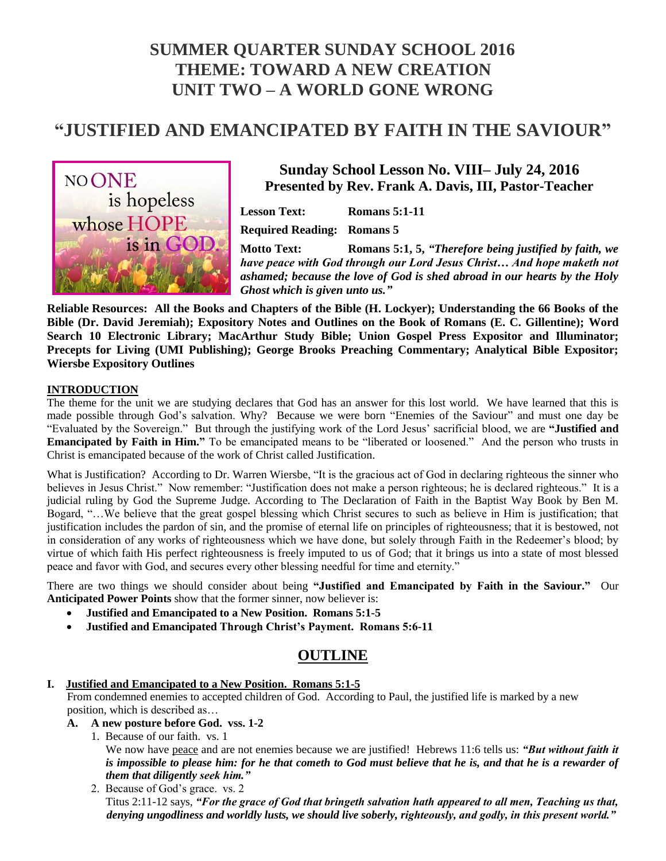# **SUMMER QUARTER SUNDAY SCHOOL 2016 THEME: TOWARD A NEW CREATION UNIT TWO – A WORLD GONE WRONG**

# **"JUSTIFIED AND EMANCIPATED BY FAITH IN THE SAVIOUR"**



# **Sunday School Lesson No. VIII– July 24, 2016 Presented by Rev. Frank A. Davis, III, Pastor-Teacher**

**Lesson Text: Romans 5:1-11**

**Required Reading: Romans 5**

**Motto Text: Romans 5:1, 5,** *"Therefore being justified by faith, we have peace with God through our Lord Jesus Christ… And hope maketh not ashamed; because the love of God is shed abroad in our hearts by the Holy Ghost which is given unto us."*

**Reliable Resources: All the Books and Chapters of the Bible (H. Lockyer); Understanding the 66 Books of the Bible (Dr. David Jeremiah); Expository Notes and Outlines on the Book of Romans (E. C. Gillentine); Word Search 10 Electronic Library; MacArthur Study Bible; Union Gospel Press Expositor and Illuminator; Precepts for Living (UMI Publishing); George Brooks Preaching Commentary; Analytical Bible Expositor; Wiersbe Expository Outlines**

#### **INTRODUCTION**

The theme for the unit we are studying declares that God has an answer for this lost world. We have learned that this is made possible through God's salvation. Why? Because we were born "Enemies of the Saviour" and must one day be "Evaluated by the Sovereign." But through the justifying work of the Lord Jesus' sacrificial blood, we are **"Justified and Emancipated by Faith in Him."** To be emancipated means to be "liberated or loosened." And the person who trusts in Christ is emancipated because of the work of Christ called Justification.

What is Justification? According to Dr. Warren Wiersbe, "It is the gracious act of God in declaring righteous the sinner who believes in Jesus Christ." Now remember: "Justification does not make a person righteous; he is declared righteous." It is a judicial ruling by God the Supreme Judge. According to The Declaration of Faith in the Baptist Way Book by Ben M. Bogard, "…We believe that the great gospel blessing which Christ secures to such as believe in Him is justification; that justification includes the pardon of sin, and the promise of eternal life on principles of righteousness; that it is bestowed, not in consideration of any works of righteousness which we have done, but solely through Faith in the Redeemer's blood; by virtue of which faith His perfect righteousness is freely imputed to us of God; that it brings us into a state of most blessed peace and favor with God, and secures every other blessing needful for time and eternity."

There are two things we should consider about being **"Justified and Emancipated by Faith in the Saviour."** Our **Anticipated Power Points** show that the former sinner, now believer is:

- **Justified and Emancipated to a New Position. Romans 5:1-5**
- **Justified and Emancipated Through Christ's Payment. Romans 5:6-11**

# **OUTLINE**

#### **I. Justified and Emancipated to a New Position. Romans 5:1-5**

 From condemned enemies to accepted children of God. According to Paul, the justified life is marked by a new position, which is described as…

- **A. A new posture before God. vss. 1-2**
	- 1. Because of our faith. vs. 1 We now have peace and are not enemies because we are justified! Hebrews 11:6 tells us: *"But without faith it is impossible to please him: for he that cometh to God must believe that he is, and that he is a rewarder of them that diligently seek him."*
	- 2. Because of God's grace. vs. 2 Titus 2:11-12 says, *"For the grace of God that bringeth salvation hath appeared to all men, Teaching us that, denying ungodliness and worldly lusts, we should live soberly, righteously, and godly, in this present world."*